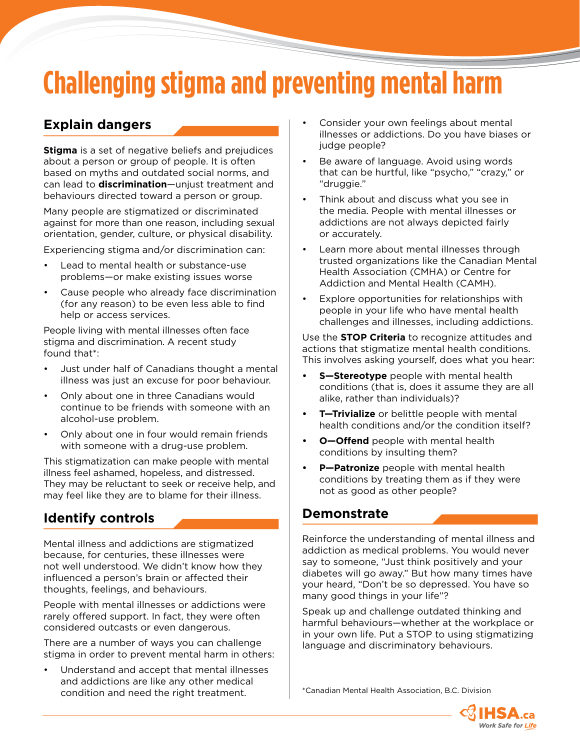## **Challenging stigma and preventing mental harm**

## **Explain dangers**

**Stigma** is a set of negative beliefs and prejudices about a person or group of people. It is often based on myths and outdated social norms, and can lead to **discrimination**—unjust treatment and behaviours directed toward a person or group.

Many people are stigmatized or discriminated against for more than one reason, including sexual orientation, gender, culture, or physical disability.

Experiencing stigma and/or discrimination can:

- Lead to mental health or substance-use problems—or make existing issues worse
- Cause people who already face discrimination (for any reason) to be even less able to find help or access services.

People living with mental illnesses often face stigma and discrimination. A recent study found that\*:

- Just under half of Canadians thought a mental illness was just an excuse for poor behaviour.
- Only about one in three Canadians would continue to be friends with someone with an alcohol-use problem.
- Only about one in four would remain friends with someone with a drug-use problem.

This stigmatization can make people with mental illness feel ashamed, hopeless, and distressed. They may be reluctant to seek or receive help, and may feel like they are to blame for their illness.

## **Identify controls**

Mental illness and addictions are stigmatized because, for centuries, these illnesses were not well understood. We didn't know how they influenced a person's brain or affected their thoughts, feelings, and behaviours.

People with mental illnesses or addictions were rarely offered support. In fact, they were often considered outcasts or even dangerous.

There are a number of ways you can challenge stigma in order to prevent mental harm in others:

• Understand and accept that mental illnesses and addictions are like any other medical condition and need the right treatment. \*Canadian Mental Health Association, B.C. Division

- Consider your own feelings about mental illnesses or addictions. Do you have biases or judge people?
- Be aware of language. Avoid using words that can be hurtful, like "psycho," "crazy," or "druggie."
- Think about and discuss what you see in the media. People with mental illnesses or addictions are not always depicted fairly or accurately.
- Learn more about mental illnesses through trusted organizations like the Canadian Mental Health Association (CMHA) or Centre for Addiction and Mental Health (CAMH).
- Explore opportunities for relationships with people in your life who have mental health challenges and illnesses, including addictions.

Use the **STOP Criteria** to recognize attitudes and actions that stigmatize mental health conditions. This involves asking yourself, does what you hear:

- **• S—Stereotype** people with mental health conditions (that is, does it assume they are all alike, rather than individuals)?
- **• T—Trivialize** or belittle people with mental health conditions and/or the condition itself?
- **• O—Offend** people with mental health conditions by insulting them?
- **• P—Patronize** people with mental health conditions by treating them as if they were not as good as other people?

### **Demonstrate**

Reinforce the understanding of mental illness and addiction as medical problems. You would never say to someone, "Just think positively and your diabetes will go away." But how many times have your heard, "Don't be so depressed. You have so many good things in your life"?

Speak up and challenge outdated thinking and harmful behaviours—whether at the workplace or in your own life. Put a STOP to using stigmatizing language and discriminatory behaviours.